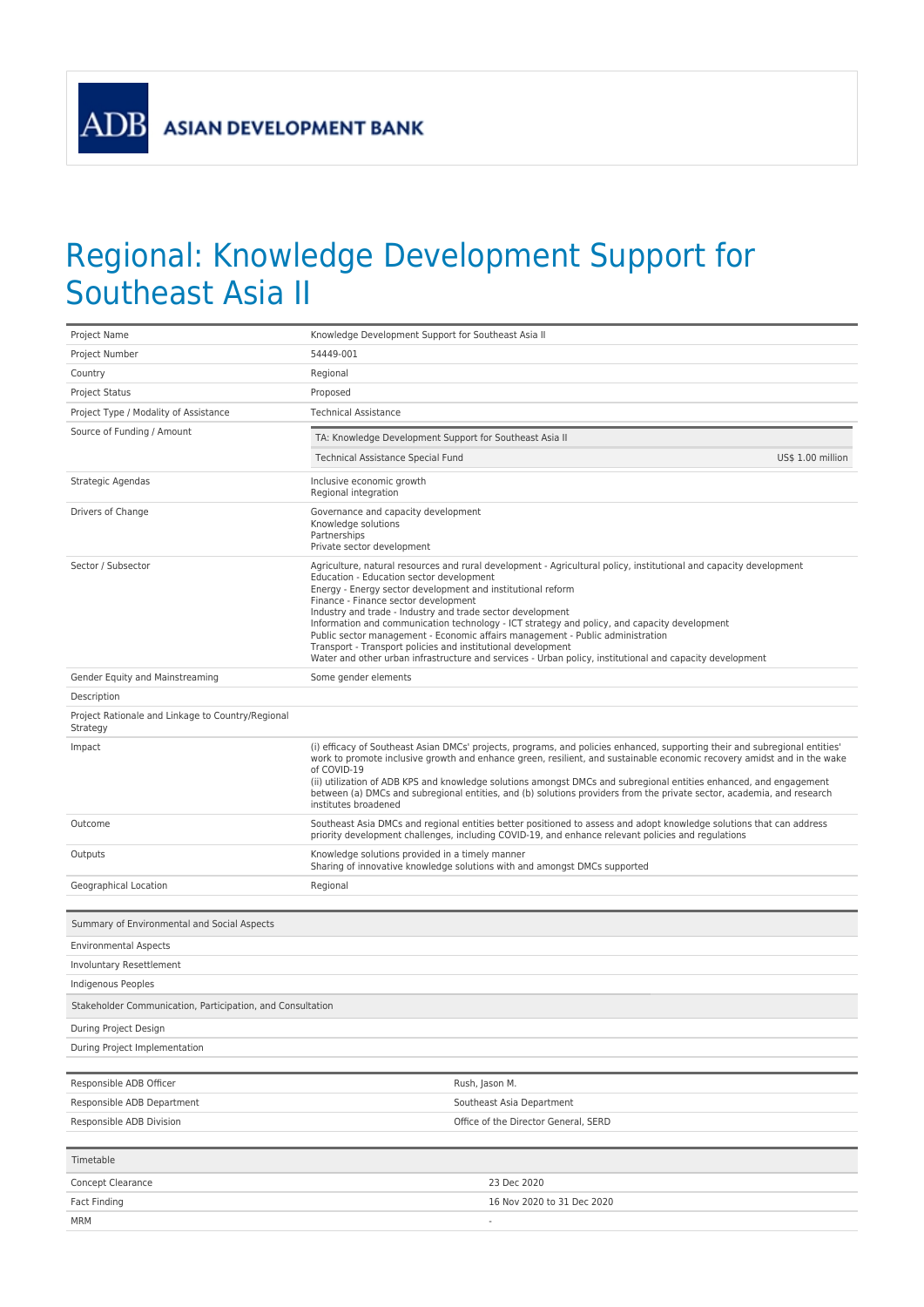**ADB** 

## Regional: Knowledge Development Support for Southeast Asia II

| Project Name                                                  | Knowledge Development Support for Southeast Asia II                                                                                                                                                                                                                                                                                                                                                                                                                                                                                                                                                                                                                                               |  |
|---------------------------------------------------------------|---------------------------------------------------------------------------------------------------------------------------------------------------------------------------------------------------------------------------------------------------------------------------------------------------------------------------------------------------------------------------------------------------------------------------------------------------------------------------------------------------------------------------------------------------------------------------------------------------------------------------------------------------------------------------------------------------|--|
| Project Number                                                | 54449-001                                                                                                                                                                                                                                                                                                                                                                                                                                                                                                                                                                                                                                                                                         |  |
| Country                                                       | Regional                                                                                                                                                                                                                                                                                                                                                                                                                                                                                                                                                                                                                                                                                          |  |
| <b>Project Status</b>                                         | Proposed                                                                                                                                                                                                                                                                                                                                                                                                                                                                                                                                                                                                                                                                                          |  |
| Project Type / Modality of Assistance                         | <b>Technical Assistance</b>                                                                                                                                                                                                                                                                                                                                                                                                                                                                                                                                                                                                                                                                       |  |
| Source of Funding / Amount                                    | TA: Knowledge Development Support for Southeast Asia II                                                                                                                                                                                                                                                                                                                                                                                                                                                                                                                                                                                                                                           |  |
|                                                               | Technical Assistance Special Fund<br>US\$ 1.00 million                                                                                                                                                                                                                                                                                                                                                                                                                                                                                                                                                                                                                                            |  |
| Strategic Agendas                                             | Inclusive economic growth<br>Regional integration                                                                                                                                                                                                                                                                                                                                                                                                                                                                                                                                                                                                                                                 |  |
| Drivers of Change                                             | Governance and capacity development<br>Knowledge solutions<br>Partnerships<br>Private sector development                                                                                                                                                                                                                                                                                                                                                                                                                                                                                                                                                                                          |  |
| Sector / Subsector                                            | Agriculture, natural resources and rural development - Agricultural policy, institutional and capacity development<br>Education - Education sector development<br>Energy - Energy sector development and institutional reform<br>Finance - Finance sector development<br>Industry and trade - Industry and trade sector development<br>Information and communication technology - ICT strategy and policy, and capacity development<br>Public sector management - Economic affairs management - Public administration<br>Transport - Transport policies and institutional development<br>Water and other urban infrastructure and services - Urban policy, institutional and capacity development |  |
| Gender Equity and Mainstreaming                               | Some gender elements                                                                                                                                                                                                                                                                                                                                                                                                                                                                                                                                                                                                                                                                              |  |
| Description                                                   |                                                                                                                                                                                                                                                                                                                                                                                                                                                                                                                                                                                                                                                                                                   |  |
| Project Rationale and Linkage to Country/Regional<br>Strategy |                                                                                                                                                                                                                                                                                                                                                                                                                                                                                                                                                                                                                                                                                                   |  |
| Impact                                                        | (i) efficacy of Southeast Asian DMCs' projects, programs, and policies enhanced, supporting their and subregional entities'<br>work to promote inclusive growth and enhance green, resilient, and sustainable economic recovery amidst and in the wake<br>of COVID-19<br>(ii) utilization of ADB KPS and knowledge solutions amongst DMCs and subregional entities enhanced, and engagement<br>between (a) DMCs and subregional entities, and (b) solutions providers from the private sector, academia, and research<br>institutes broadened                                                                                                                                                     |  |
| Outcome                                                       | Southeast Asia DMCs and regional entities better positioned to assess and adopt knowledge solutions that can address<br>priority development challenges, including COVID-19, and enhance relevant policies and regulations                                                                                                                                                                                                                                                                                                                                                                                                                                                                        |  |
| Outputs                                                       | Knowledge solutions provided in a timely manner<br>Sharing of innovative knowledge solutions with and amongst DMCs supported                                                                                                                                                                                                                                                                                                                                                                                                                                                                                                                                                                      |  |
| Geographical Location                                         | Regional                                                                                                                                                                                                                                                                                                                                                                                                                                                                                                                                                                                                                                                                                          |  |
|                                                               |                                                                                                                                                                                                                                                                                                                                                                                                                                                                                                                                                                                                                                                                                                   |  |
| Summary of Environmental and Social Aspects                   |                                                                                                                                                                                                                                                                                                                                                                                                                                                                                                                                                                                                                                                                                                   |  |
| <b>Environmental Aspects</b>                                  |                                                                                                                                                                                                                                                                                                                                                                                                                                                                                                                                                                                                                                                                                                   |  |
| <b>Involuntary Resettlement</b>                               |                                                                                                                                                                                                                                                                                                                                                                                                                                                                                                                                                                                                                                                                                                   |  |
| Indigenous Peoples                                            |                                                                                                                                                                                                                                                                                                                                                                                                                                                                                                                                                                                                                                                                                                   |  |
| Stakeholder Communication, Participation, and Consultation    |                                                                                                                                                                                                                                                                                                                                                                                                                                                                                                                                                                                                                                                                                                   |  |
| During Project Design                                         |                                                                                                                                                                                                                                                                                                                                                                                                                                                                                                                                                                                                                                                                                                   |  |
| During Project Implementation                                 |                                                                                                                                                                                                                                                                                                                                                                                                                                                                                                                                                                                                                                                                                                   |  |
| Responsible ADB Officer                                       | Rush, Jason M.                                                                                                                                                                                                                                                                                                                                                                                                                                                                                                                                                                                                                                                                                    |  |
|                                                               |                                                                                                                                                                                                                                                                                                                                                                                                                                                                                                                                                                                                                                                                                                   |  |
| Responsible ADB Department<br>Responsible ADB Division        | Southeast Asia Department<br>Office of the Director General, SERD                                                                                                                                                                                                                                                                                                                                                                                                                                                                                                                                                                                                                                 |  |
|                                                               |                                                                                                                                                                                                                                                                                                                                                                                                                                                                                                                                                                                                                                                                                                   |  |
| Timetable                                                     |                                                                                                                                                                                                                                                                                                                                                                                                                                                                                                                                                                                                                                                                                                   |  |
| Concept Clearance                                             | 23 Dec 2020                                                                                                                                                                                                                                                                                                                                                                                                                                                                                                                                                                                                                                                                                       |  |
| Fact Finding                                                  | 16 Nov 2020 to 31 Dec 2020                                                                                                                                                                                                                                                                                                                                                                                                                                                                                                                                                                                                                                                                        |  |
| <b>MRM</b>                                                    |                                                                                                                                                                                                                                                                                                                                                                                                                                                                                                                                                                                                                                                                                                   |  |